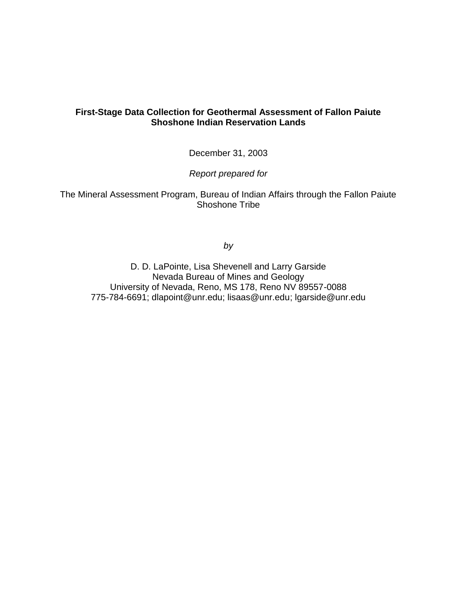# **First-Stage Data Collection for Geothermal Assessment of Fallon Paiute Shoshone Indian Reservation Lands**

December 31, 2003

*Report prepared for*

The Mineral Assessment Program, Bureau of Indian Affairs through the Fallon Paiute Shoshone Tribe

*by*

D. D. LaPointe, Lisa Shevenell and Larry Garside Nevada Bureau of Mines and Geology University of Nevada, Reno, MS 178, Reno NV 89557-0088 775-784-6691; dlapoint@unr.edu; lisaas@unr.edu; lgarside@unr.edu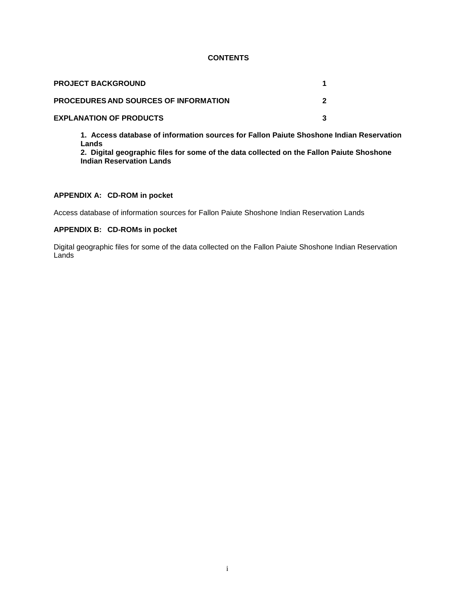## **CONTENTS**

| <b>PROJECT BACKGROUND</b>                    |  |
|----------------------------------------------|--|
| <b>PROCEDURES AND SOURCES OF INFORMATION</b> |  |
| <b>EXPLANATION OF PRODUCTS</b>               |  |

**1. Access database of information sources for Fallon Paiute Shoshone Indian Reservation Lands**

**2. Digital geographic files for some of the data collected on the Fallon Paiute Shoshone Indian Reservation Lands**

## **APPENDIX A: CD-ROM in pocket**

Access database of information sources for Fallon Paiute Shoshone Indian Reservation Lands

## **APPENDIX B: CD-ROMs in pocket**

Digital geographic files for some of the data collected on the Fallon Paiute Shoshone Indian Reservation Lands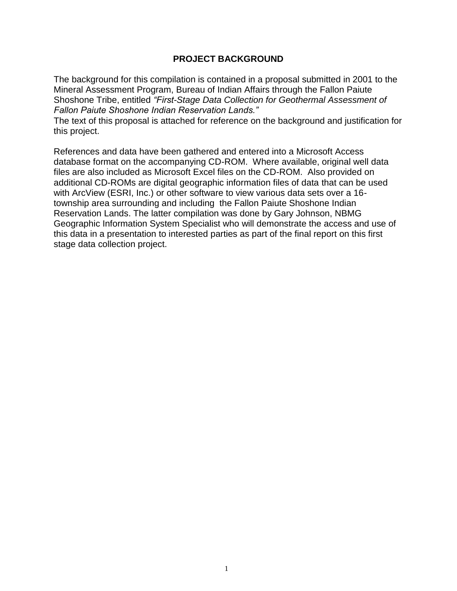# **PROJECT BACKGROUND**

The background for this compilation is contained in a proposal submitted in 2001 to the Mineral Assessment Program, Bureau of Indian Affairs through the Fallon Paiute Shoshone Tribe, entitled *"First-Stage Data Collection for Geothermal Assessment of Fallon Paiute Shoshone Indian Reservation Lands."*

The text of this proposal is attached for reference on the background and justification for this project.

References and data have been gathered and entered into a Microsoft Access database format on the accompanying CD-ROM. Where available, original well data files are also included as Microsoft Excel files on the CD-ROM. Also provided on additional CD-ROMs are digital geographic information files of data that can be used with ArcView (ESRI, Inc.) or other software to view various data sets over a 16 township area surrounding and including the Fallon Paiute Shoshone Indian Reservation Lands. The latter compilation was done by Gary Johnson, NBMG Geographic Information System Specialist who will demonstrate the access and use of this data in a presentation to interested parties as part of the final report on this first stage data collection project.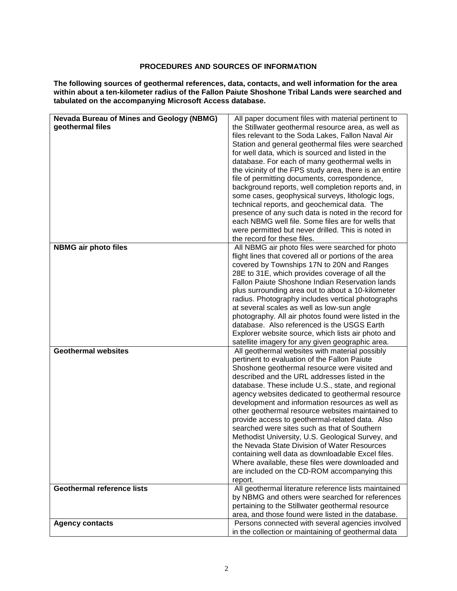## **PROCEDURES AND SOURCES OF INFORMATION**

**The following sources of geothermal references, data, contacts, and well information for the area within about a ten-kilometer radius of the Fallon Paiute Shoshone Tribal Lands were searched and tabulated on the accompanying Microsoft Access database.**

| <b>Nevada Bureau of Mines and Geology (NBMG)</b> | All paper document files with material pertinent to                                                                                                              |  |  |
|--------------------------------------------------|------------------------------------------------------------------------------------------------------------------------------------------------------------------|--|--|
| geothermal files                                 | the Stillwater geothermal resource area, as well as                                                                                                              |  |  |
|                                                  | files relevant to the Soda Lakes, Fallon Naval Air                                                                                                               |  |  |
|                                                  | Station and general geothermal files were searched                                                                                                               |  |  |
|                                                  | for well data, which is sourced and listed in the                                                                                                                |  |  |
|                                                  | database. For each of many geothermal wells in                                                                                                                   |  |  |
|                                                  | the vicinity of the FPS study area, there is an entire                                                                                                           |  |  |
|                                                  | file of permitting documents, correspondence,                                                                                                                    |  |  |
|                                                  | background reports, well completion reports and, in                                                                                                              |  |  |
|                                                  | some cases, geophysical surveys, lithologic logs,                                                                                                                |  |  |
|                                                  | technical reports, and geochemical data. The                                                                                                                     |  |  |
|                                                  | presence of any such data is noted in the record for<br>each NBMG well file. Some files are for wells that<br>were permitted but never drilled. This is noted in |  |  |
|                                                  |                                                                                                                                                                  |  |  |
|                                                  |                                                                                                                                                                  |  |  |
|                                                  | the record for these files.                                                                                                                                      |  |  |
| <b>NBMG air photo files</b>                      | All NBMG air photo files were searched for photo                                                                                                                 |  |  |
|                                                  | flight lines that covered all or portions of the area                                                                                                            |  |  |
|                                                  | covered by Townships 17N to 20N and Ranges                                                                                                                       |  |  |
|                                                  | 28E to 31E, which provides coverage of all the                                                                                                                   |  |  |
|                                                  | <b>Fallon Paiute Shoshone Indian Reservation lands</b>                                                                                                           |  |  |
|                                                  | plus surrounding area out to about a 10-kilometer                                                                                                                |  |  |
|                                                  | radius. Photography includes vertical photographs                                                                                                                |  |  |
|                                                  | at several scales as well as low-sun angle                                                                                                                       |  |  |
|                                                  | photography. All air photos found were listed in the                                                                                                             |  |  |
|                                                  | database. Also referenced is the USGS Earth                                                                                                                      |  |  |
|                                                  |                                                                                                                                                                  |  |  |
|                                                  | Explorer website source, which lists air photo and                                                                                                               |  |  |
| <b>Geothermal websites</b>                       | satellite imagery for any given geographic area.<br>All geothermal websites with material possibly                                                               |  |  |
|                                                  | pertinent to evaluation of the Fallon Paiute                                                                                                                     |  |  |
|                                                  |                                                                                                                                                                  |  |  |
|                                                  | Shoshone geothermal resource were visited and<br>described and the URL addresses listed in the                                                                   |  |  |
|                                                  |                                                                                                                                                                  |  |  |
|                                                  | database. These include U.S., state, and regional                                                                                                                |  |  |
|                                                  | agency websites dedicated to geothermal resource<br>development and information resources as well as                                                             |  |  |
|                                                  | other geothermal resource websites maintained to                                                                                                                 |  |  |
|                                                  | provide access to geothermal-related data. Also                                                                                                                  |  |  |
|                                                  | searched were sites such as that of Southern                                                                                                                     |  |  |
|                                                  | Methodist University, U.S. Geological Survey, and                                                                                                                |  |  |
|                                                  | the Nevada State Division of Water Resources                                                                                                                     |  |  |
|                                                  | containing well data as downloadable Excel files.                                                                                                                |  |  |
|                                                  | Where available, these files were downloaded and                                                                                                                 |  |  |
|                                                  |                                                                                                                                                                  |  |  |
|                                                  | are included on the CD-ROM accompanying this                                                                                                                     |  |  |
|                                                  | report.                                                                                                                                                          |  |  |
| <b>Geothermal reference lists</b>                | All geothermal literature reference lists maintained                                                                                                             |  |  |
|                                                  | by NBMG and others were searched for references                                                                                                                  |  |  |
|                                                  | pertaining to the Stillwater geothermal resource                                                                                                                 |  |  |
|                                                  | area, and those found were listed in the database.                                                                                                               |  |  |
| <b>Agency contacts</b>                           | Persons connected with several agencies involved                                                                                                                 |  |  |
|                                                  | in the collection or maintaining of geothermal data                                                                                                              |  |  |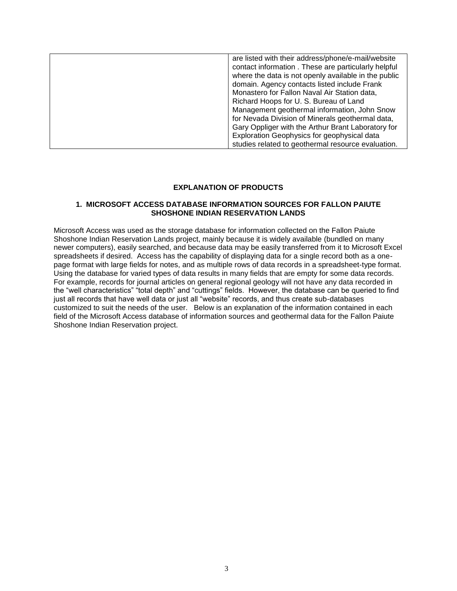| are listed with their address/phone/e-mail/website   |
|------------------------------------------------------|
| contact information. These are particularly helpful  |
| where the data is not openly available in the public |
| domain. Agency contacts listed include Frank         |
| Monastero for Fallon Naval Air Station data,         |
| Richard Hoops for U.S. Bureau of Land                |
| Management geothermal information, John Snow         |
| for Nevada Division of Minerals geothermal data,     |
| Gary Oppliger with the Arthur Brant Laboratory for   |
| Exploration Geophysics for geophysical data          |
| studies related to geothermal resource evaluation.   |

#### **EXPLANATION OF PRODUCTS**

### **1. MICROSOFT ACCESS DATABASE INFORMATION SOURCES FOR FALLON PAIUTE SHOSHONE INDIAN RESERVATION LANDS**

Microsoft Access was used as the storage database for information collected on the Fallon Paiute Shoshone Indian Reservation Lands project, mainly because it is widely available (bundled on many newer computers), easily searched, and because data may be easily transferred from it to Microsoft Excel spreadsheets if desired. Access has the capability of displaying data for a single record both as a onepage format with large fields for notes, and as multiple rows of data records in a spreadsheet-type format. Using the database for varied types of data results in many fields that are empty for some data records. For example, records for journal articles on general regional geology will not have any data recorded in the "well characteristics" "total depth" and "cuttings" fields. However, the database can be queried to find just all records that have well data or just all "website" records, and thus create sub-databases customized to suit the needs of the user. Below is an explanation of the information contained in each field of the Microsoft Access database of information sources and geothermal data for the Fallon Paiute Shoshone Indian Reservation project.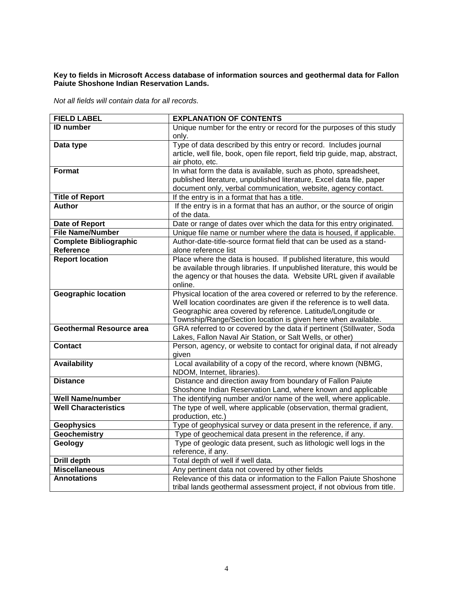### **Key to fields in Microsoft Access database of information sources and geothermal data for Fallon Paiute Shoshone Indian Reservation Lands.**

*Not all fields will contain data for all records.* 

| <b>FIELD LABEL</b>            | <b>EXPLANATION OF CONTENTS</b>                                                                                                     |
|-------------------------------|------------------------------------------------------------------------------------------------------------------------------------|
| <b>ID</b> number              | Unique number for the entry or record for the purposes of this study                                                               |
|                               | only.                                                                                                                              |
| Data type                     | Type of data described by this entry or record. Includes journal                                                                   |
|                               | article, well file, book, open file report, field trip guide, map, abstract,                                                       |
|                               | air photo, etc.                                                                                                                    |
| <b>Format</b>                 | In what form the data is available, such as photo, spreadsheet,                                                                    |
|                               | published literature, unpublished literature, Excel data file, paper                                                               |
|                               | document only, verbal communication, website, agency contact.                                                                      |
| <b>Title of Report</b>        | If the entry is in a format that has a title.                                                                                      |
| <b>Author</b>                 | If the entry is in a format that has an author, or the source of origin                                                            |
|                               | of the data.                                                                                                                       |
| Date of Report                | Date or range of dates over which the data for this entry originated.                                                              |
| <b>File Name/Number</b>       | Unique file name or number where the data is housed, if applicable.                                                                |
| <b>Complete Bibliographic</b> | Author-date-title-source format field that can be used as a stand-                                                                 |
| Reference                     | alone reference list                                                                                                               |
| <b>Report location</b>        | Place where the data is housed. If published literature, this would                                                                |
|                               | be available through libraries. If unpublished literature, this would be                                                           |
|                               | the agency or that houses the data. Website URL given if available                                                                 |
|                               | online.                                                                                                                            |
| <b>Geographic location</b>    | Physical location of the area covered or referred to by the reference.                                                             |
|                               | Well location coordinates are given if the reference is to well data.                                                              |
|                               | Geographic area covered by reference. Latitude/Longitude or                                                                        |
| Geothermal Resource area      | Township/Range/Section location is given here when available.                                                                      |
|                               | GRA referred to or covered by the data if pertinent (Stillwater, Soda<br>Lakes, Fallon Naval Air Station, or Salt Wells, or other) |
| <b>Contact</b>                | Person, agency, or website to contact for original data, if not already                                                            |
|                               | given                                                                                                                              |
| <b>Availability</b>           | Local availability of a copy of the record, where known (NBMG,                                                                     |
|                               | NDOM, Internet, libraries).                                                                                                        |
| <b>Distance</b>               | Distance and direction away from boundary of Fallon Paiute                                                                         |
|                               | Shoshone Indian Reservation Land, where known and applicable                                                                       |
| <b>Well Name/number</b>       | The identifying number and/or name of the well, where applicable.                                                                  |
| <b>Well Characteristics</b>   | The type of well, where applicable (observation, thermal gradient,                                                                 |
|                               | production, etc.)                                                                                                                  |
| <b>Geophysics</b>             | Type of geophysical survey or data present in the reference, if any.                                                               |
| <b>Geochemistry</b>           | Type of geochemical data present in the reference, if any.                                                                         |
| Geology                       | Type of geologic data present, such as lithologic well logs in the                                                                 |
|                               | reference, if any.                                                                                                                 |
| <b>Drill depth</b>            | Total depth of well if well data.                                                                                                  |
| <b>Miscellaneous</b>          | Any pertinent data not covered by other fields                                                                                     |
| <b>Annotations</b>            | Relevance of this data or information to the Fallon Paiute Shoshone                                                                |
|                               | tribal lands geothermal assessment project, if not obvious from title.                                                             |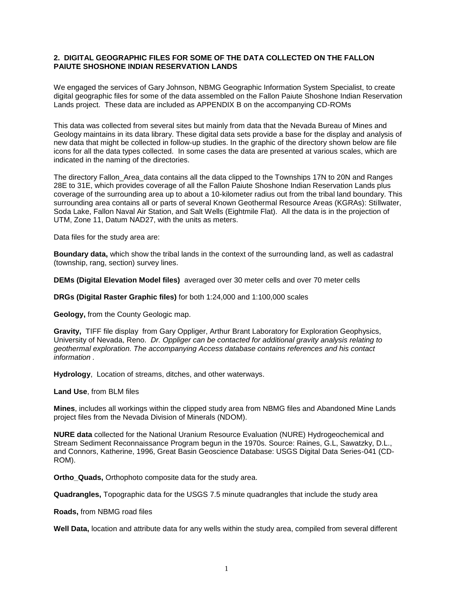## **2. DIGITAL GEOGRAPHIC FILES FOR SOME OF THE DATA COLLECTED ON THE FALLON PAIUTE SHOSHONE INDIAN RESERVATION LANDS**

We engaged the services of Gary Johnson, NBMG Geographic Information System Specialist, to create digital geographic files for some of the data assembled on the Fallon Paiute Shoshone Indian Reservation Lands project. These data are included as APPENDIX B on the accompanying CD-ROMs

This data was collected from several sites but mainly from data that the Nevada Bureau of Mines and Geology maintains in its data library. These digital data sets provide a base for the display and analysis of new data that might be collected in follow-up studies. In the graphic of the directory shown below are file icons for all the data types collected. In some cases the data are presented at various scales, which are indicated in the naming of the directories.

The directory Fallon Area data contains all the data clipped to the Townships 17N to 20N and Ranges 28E to 31E, which provides coverage of all the Fallon Paiute Shoshone Indian Reservation Lands plus coverage of the surrounding area up to about a 10-kilometer radius out from the tribal land boundary. This surrounding area contains all or parts of several Known Geothermal Resource Areas (KGRAs): Stillwater, Soda Lake, Fallon Naval Air Station, and Salt Wells (Eightmile Flat). All the data is in the projection of UTM, Zone 11, Datum NAD27, with the units as meters.

Data files for the study area are:

**Boundary data,** which show the tribal lands in the context of the surrounding land, as well as cadastral (township, rang, section) survey lines.

**DEMs (Digital Elevation Model files)** averaged over 30 meter cells and over 70 meter cells

**DRGs (Digital Raster Graphic files)** for both 1:24,000 and 1:100,000 scales

**Geology,** from the County Geologic map.

**Gravity,** TIFF file display from Gary Oppliger, Arthur Brant Laboratory for Exploration Geophysics, University of Nevada, Reno. *Dr. Oppliger can be contacted for additional gravity analysis relating to geothermal exploration. The accompanying Access database contains references and his contact information .*

**Hydrology**, Location of streams, ditches, and other waterways.

**Land Use**, from BLM files

**Mines**, includes all workings within the clipped study area from NBMG files and Abandoned Mine Lands project files from the Nevada Division of Minerals (NDOM).

**NURE data** collected for the National Uranium Resource Evaluation (NURE) Hydrogeochemical and Stream Sediment Reconnaissance Program begun in the 1970s. Source: Raines, G.L, Sawatzky, D.L., and Connors, Katherine, 1996, Great Basin Geoscience Database: USGS Digital Data Series-041 (CD-ROM).

**Ortho\_Quads,** Orthophoto composite data for the study area.

**Quadrangles,** Topographic data for the USGS 7.5 minute quadrangles that include the study area

**Roads,** from NBMG road files

**Well Data,** location and attribute data for any wells within the study area, compiled from several different